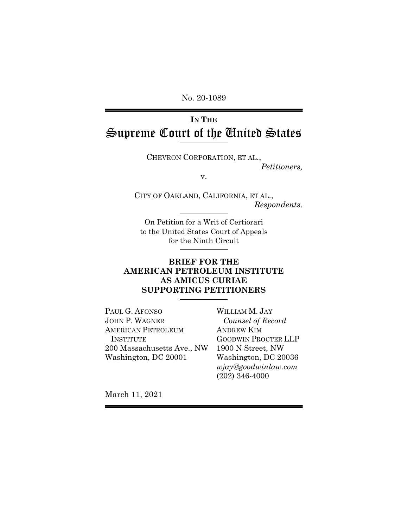No. 20-1089

# **IN THE** Supreme Court of the United States

CHEVRON CORPORATION, ET AL., *Petitioners,* 

v.

CITY OF OAKLAND, CALIFORNIA, ET AL., *Respondents.* 

On Petition for a Writ of Certiorari to the United States Court of Appeals for the Ninth Circuit

## **BRIEF FOR THE AMERICAN PETROLEUM INSTITUTE AS AMICUS CURIAE** **SUPPORTING PETITIONERS**

PAUL G. AFONSO JOHN P. WAGNER AMERICAN PETROLEUM INSTITUTE 200 Massachusetts Ave., NW Washington, DC 20001

WILLIAM M. JAY *Counsel of Record*  ANDREW KIM GOODWIN PROCTER LLP 1900 N Street, NW Washington, DC 20036 *wjay@goodwinlaw.com*  (202) 346-4000

March 11, 2021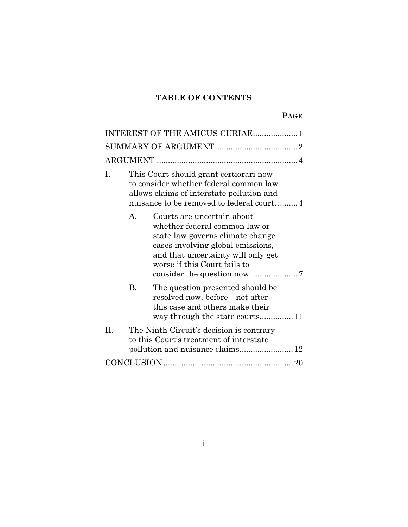## **TABLE OF CONTENTS**

| INTEREST OF THE AMICUS CURIAE1                                                                                                                                                                                             |
|----------------------------------------------------------------------------------------------------------------------------------------------------------------------------------------------------------------------------|
|                                                                                                                                                                                                                            |
|                                                                                                                                                                                                                            |
| This Court should grant certiorari now<br>I.<br>to consider whether federal common law<br>allows claims of interstate pollution and<br>nuisance to be removed to federal court4                                            |
| $\mathbf{A}$<br>Courts are uncertain about<br>whether federal common law or<br>state law governs climate change<br>cases involving global emissions,<br>and that uncertainty will only get<br>worse if this Court fails to |
| B.<br>The question presented should be<br>resolved now, before—not after—<br>this case and others make their<br>way through the state courts11                                                                             |
| H<br>The Ninth Circuit's decision is contrary<br>to this Court's treatment of interstate<br>pollution and nuisance claims 12                                                                                               |
|                                                                                                                                                                                                                            |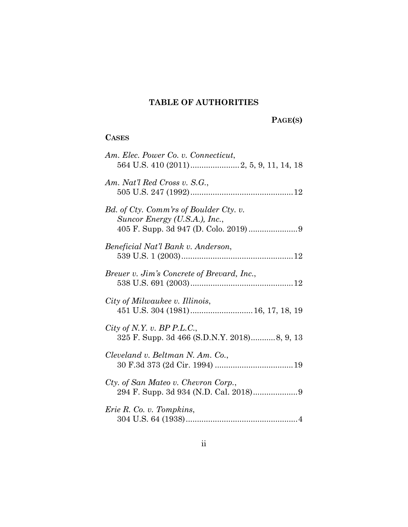## **TABLE OF AUTHORITIES**

 **PAGE(S)** 

## **CASES**

| Am. Elec. Power Co. v. Connecticut,                                       |
|---------------------------------------------------------------------------|
| Am. Nat'l Red Cross v. S.G.,                                              |
| Bd. of Cty. Comm'rs of Boulder Cty. v.<br>Suncor Energy (U.S.A.), Inc.,   |
| Beneficial Nat'l Bank v. Anderson,                                        |
| Breuer v. Jim's Concrete of Brevard, Inc.,                                |
| City of Milwaukee v. Illinois,<br>451 U.S. 304 (1981) 16, 17, 18, 19      |
| City of N.Y. v. BP P.L.C.,<br>325 F. Supp. 3d 466 (S.D.N.Y. 2018)8, 9, 13 |
| Cleveland v. Beltman N. Am. Co.,                                          |
| Cty. of San Mateo v. Chevron Corp.,                                       |
| Erie R. Co. v. Tompkins,                                                  |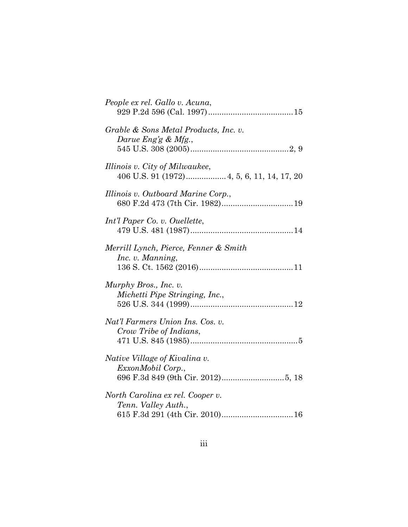| People ex rel. Gallo v. Acuna,                                                             |
|--------------------------------------------------------------------------------------------|
| Grable & Sons Metal Products, Inc. v.<br>Darue Eng'g & Mfg.,                               |
| Illinois v. City of Milwaukee,<br>406 U.S. 91 (1972) 4, 5, 6, 11, 14, 17, 20               |
| Illinois v. Outboard Marine Corp.,                                                         |
| Int'l Paper Co. v. Ouellette,                                                              |
| Merrill Lynch, Pierce, Fenner & Smith<br>Inc. v. Manning,                                  |
| Murphy Bros., Inc. v.<br>Michetti Pipe Stringing, Inc.,                                    |
| Nat'l Farmers Union Ins. Cos. v.<br>Crow Tribe of Indians,                                 |
| Native Village of Kivalina v.<br>ExxonMobil Corp.,                                         |
| North Carolina ex rel. Cooper v.<br>Tenn. Valley Auth.,<br>615 F.3d 291 (4th Cir. 2010) 16 |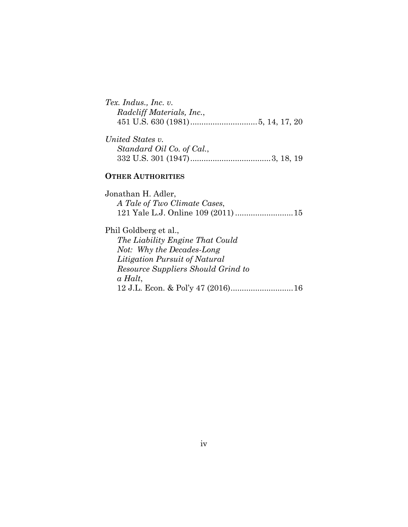| Tex. Indus., Inc. $v$ .   |  |
|---------------------------|--|
| Radcliff Materials, Inc., |  |
|                           |  |

| United States v.          |  |  |
|---------------------------|--|--|
| Standard Oil Co. of Cal., |  |  |
|                           |  |  |

## **OTHER AUTHORITIES**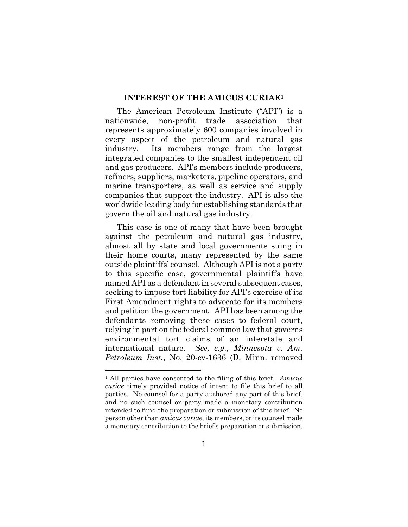#### **INTEREST OF THE AMICUS CURIAE1**

The American Petroleum Institute ("API") is a nationwide, non-profit trade association that represents approximately 600 companies involved in every aspect of the petroleum and natural gas industry. Its members range from the largest integrated companies to the smallest independent oil and gas producers. API's members include producers, refiners, suppliers, marketers, pipeline operators, and marine transporters, as well as service and supply companies that support the industry. API is also the worldwide leading body for establishing standards that govern the oil and natural gas industry.

This case is one of many that have been brought against the petroleum and natural gas industry, almost all by state and local governments suing in their home courts, many represented by the same outside plaintiffs' counsel. Although API is not a party to this specific case, governmental plaintiffs have named API as a defendant in several subsequent cases, seeking to impose tort liability for API's exercise of its First Amendment rights to advocate for its members and petition the government. API has been among the defendants removing these cases to federal court, relying in part on the federal common law that governs environmental tort claims of an interstate and international nature. *See, e.g.*, *Minnesota v. Am. Petroleum Inst.*, No. 20-cv-1636 (D. Minn. removed

<sup>1</sup> All parties have consented to the filing of this brief. *Amicus curiae* timely provided notice of intent to file this brief to all parties. No counsel for a party authored any part of this brief, and no such counsel or party made a monetary contribution intended to fund the preparation or submission of this brief. No person other than *amicus curiae*, its members, or its counsel made a monetary contribution to the brief's preparation or submission.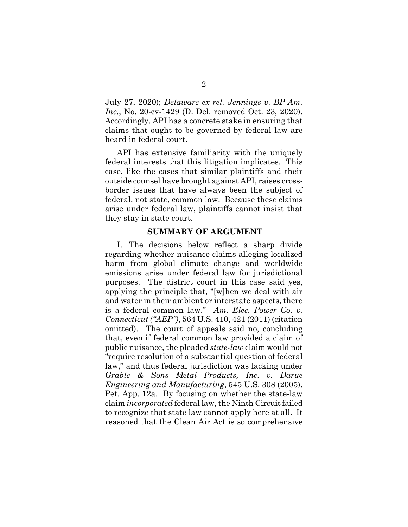July 27, 2020); *Delaware ex rel. Jennings v. BP Am. Inc.*, No. 20-cv-1429 (D. Del. removed Oct. 23, 2020). Accordingly, API has a concrete stake in ensuring that claims that ought to be governed by federal law are heard in federal court.

API has extensive familiarity with the uniquely federal interests that this litigation implicates. This case, like the cases that similar plaintiffs and their outside counsel have brought against API, raises crossborder issues that have always been the subject of federal, not state, common law. Because these claims arise under federal law, plaintiffs cannot insist that they stay in state court.

#### **SUMMARY OF ARGUMENT**

I. The decisions below reflect a sharp divide regarding whether nuisance claims alleging localized harm from global climate change and worldwide emissions arise under federal law for jurisdictional purposes. The district court in this case said yes, applying the principle that, "[w]hen we deal with air and water in their ambient or interstate aspects, there is a federal common law." *Am. Elec. Power Co. v. Connecticut ("AEP")*, 564 U.S. 410, 421 (2011) (citation omitted). The court of appeals said no, concluding that, even if federal common law provided a claim of public nuisance, the pleaded *state-law* claim would not "require resolution of a substantial question of federal law," and thus federal jurisdiction was lacking under *Grable & Sons Metal Products, Inc. v. Darue Engineering and Manufacturing*, 545 U.S. 308 (2005). Pet. App. 12a. By focusing on whether the state-law claim *incorporated* federal law, the Ninth Circuit failed to recognize that state law cannot apply here at all. It reasoned that the Clean Air Act is so comprehensive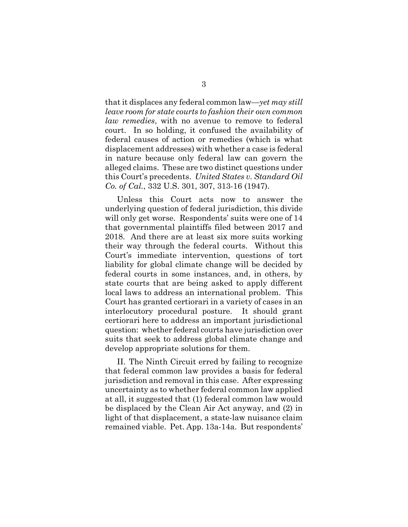that it displaces any federal common law—*yet may still leave room for state courts to fashion their own common law remedies*, with no avenue to remove to federal court. In so holding, it confused the availability of federal causes of action or remedies (which is what displacement addresses) with whether a case is federal in nature because only federal law can govern the alleged claims. These are two distinct questions under this Court's precedents. *United States v. Standard Oil Co. of Cal.*, 332 U.S. 301, 307, 313-16 (1947).

Unless this Court acts now to answer the underlying question of federal jurisdiction, this divide will only get worse. Respondents' suits were one of 14 that governmental plaintiffs filed between 2017 and 2018. And there are at least six more suits working their way through the federal courts. Without this Court's immediate intervention, questions of tort liability for global climate change will be decided by federal courts in some instances, and, in others, by state courts that are being asked to apply different local laws to address an international problem. This Court has granted certiorari in a variety of cases in an interlocutory procedural posture. It should grant certiorari here to address an important jurisdictional question: whether federal courts have jurisdiction over suits that seek to address global climate change and develop appropriate solutions for them.

II. The Ninth Circuit erred by failing to recognize that federal common law provides a basis for federal jurisdiction and removal in this case. After expressing uncertainty as to whether federal common law applied at all, it suggested that (1) federal common law would be displaced by the Clean Air Act anyway, and (2) in light of that displacement, a state-law nuisance claim remained viable. Pet. App. 13a-14a. But respondents'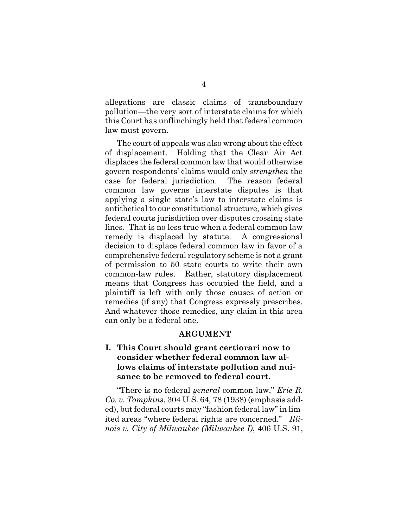allegations are classic claims of transboundary pollution—the very sort of interstate claims for which this Court has unflinchingly held that federal common law must govern.

The court of appeals was also wrong about the effect of displacement. Holding that the Clean Air Act displaces the federal common law that would otherwise govern respondents' claims would only *strengthen* the case for federal jurisdiction. The reason federal common law governs interstate disputes is that applying a single state's law to interstate claims is antithetical to our constitutional structure, which gives federal courts jurisdiction over disputes crossing state lines. That is no less true when a federal common law remedy is displaced by statute. A congressional decision to displace federal common law in favor of a comprehensive federal regulatory scheme is not a grant of permission to 50 state courts to write their own common-law rules. Rather, statutory displacement means that Congress has occupied the field, and a plaintiff is left with only those causes of action or remedies (if any) that Congress expressly prescribes. And whatever those remedies, any claim in this area can only be a federal one.

#### **ARGUMENT**

## **I. This Court should grant certiorari now to consider whether federal common law allows claims of interstate pollution and nuisance to be removed to federal court.**

"There is no federal *general* common law," *Erie R. Co. v. Tompkins*, 304 U.S. 64, 78 (1938) (emphasis added), but federal courts may "fashion federal law" in limited areas "where federal rights are concerned." *Illinois v. City of Milwaukee (Milwaukee I)*, 406 U.S. 91,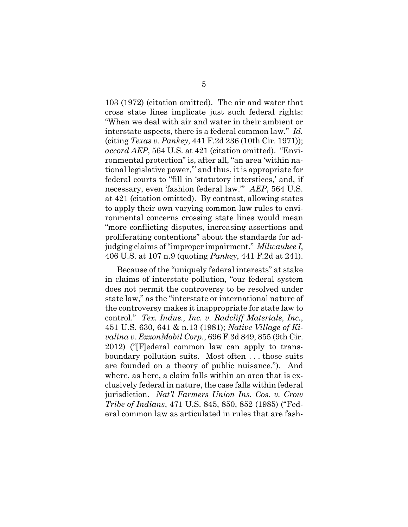103 (1972) (citation omitted). The air and water that cross state lines implicate just such federal rights: "When we deal with air and water in their ambient or interstate aspects, there is a federal common law." *Id.* (citing *Texas v. Pankey*, 441 F.2d 236 (10th Cir. 1971)); *accord AEP*, 564 U.S. at 421 (citation omitted). "Environmental protection" is, after all, "an area 'within national legislative power,'" and thus, it is appropriate for federal courts to "fill in 'statutory interstices,' and, if necessary, even 'fashion federal law.'" *AEP*, 564 U.S. at 421 (citation omitted). By contrast, allowing states to apply their own varying common-law rules to environmental concerns crossing state lines would mean "more conflicting disputes, increasing assertions and proliferating contentions" about the standards for adjudging claims of "improper impairment." *Milwaukee I*, 406 U.S. at 107 n.9 (quoting *Pankey*, 441 F.2d at 241).

Because of the "uniquely federal interests" at stake in claims of interstate pollution, "our federal system does not permit the controversy to be resolved under state law," as the "interstate or international nature of the controversy makes it inappropriate for state law to control." *Tex. Indus., Inc. v. Radcliff Materials, Inc.*, 451 U.S. 630, 641 & n.13 (1981); *Native Village of Kivalina v. ExxonMobil Corp.*, 696 F.3d 849, 855 (9th Cir. 2012) ("[F]ederal common law can apply to transboundary pollution suits. Most often . . . those suits are founded on a theory of public nuisance."). And where, as here, a claim falls within an area that is exclusively federal in nature, the case falls within federal jurisdiction. *Nat'l Farmers Union Ins. Cos. v. Crow Tribe of Indians*, 471 U.S. 845, 850, 852 (1985) ("Federal common law as articulated in rules that are fash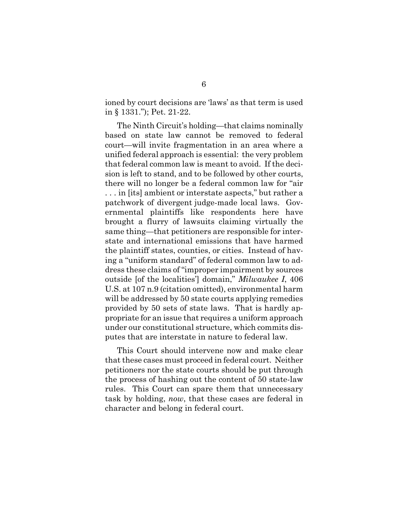ioned by court decisions are 'laws' as that term is used in § 1331."); Pet. 21-22.

The Ninth Circuit's holding—that claims nominally based on state law cannot be removed to federal court—will invite fragmentation in an area where a unified federal approach is essential: the very problem that federal common law is meant to avoid. If the decision is left to stand, and to be followed by other courts, there will no longer be a federal common law for "air . . . in [its] ambient or interstate aspects," but rather a patchwork of divergent judge-made local laws. Governmental plaintiffs like respondents here have brought a flurry of lawsuits claiming virtually the same thing—that petitioners are responsible for interstate and international emissions that have harmed the plaintiff states, counties, or cities. Instead of having a "uniform standard" of federal common law to address these claims of "improper impairment by sources outside [of the localities'] domain," *Milwaukee I*, 406 U.S. at 107 n.9 (citation omitted), environmental harm will be addressed by 50 state courts applying remedies provided by 50 sets of state laws. That is hardly appropriate for an issue that requires a uniform approach under our constitutional structure, which commits disputes that are interstate in nature to federal law.

This Court should intervene now and make clear that these cases must proceed in federal court. Neither petitioners nor the state courts should be put through the process of hashing out the content of 50 state-law rules. This Court can spare them that unnecessary task by holding, *now*, that these cases are federal in character and belong in federal court.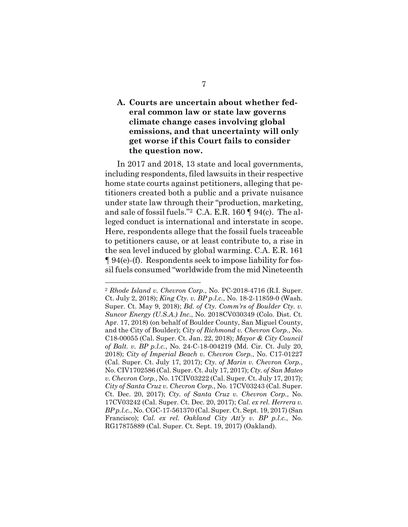## **A. Courts are uncertain about whether federal common law or state law governs climate change cases involving global emissions, and that uncertainty will only get worse if this Court fails to consider the question now.**

In 2017 and 2018, 13 state and local governments, including respondents, filed lawsuits in their respective home state courts against petitioners, alleging that petitioners created both a public and a private nuisance under state law through their "production, marketing, and sale of fossil fuels."2 C.A. E.R. 160 ¶ 94(c). The alleged conduct is international and interstate in scope. Here, respondents allege that the fossil fuels traceable to petitioners cause, or at least contribute to, a rise in the sea level induced by global warming. C.A. E.R. 161 ¶ 94(e)-(f). Respondents seek to impose liability for fossil fuels consumed "worldwide from the mid Nineteenth

<sup>2</sup> *Rhode Island v. Chevron Corp.*, No. PC-2018-4716 (R.I. Super. Ct. July 2, 2018); *King Cty. v. BP p.l.c.*, No. 18-2-11859-0 (Wash. Super. Ct. May 9, 2018); *Bd. of Cty. Comm'rs of Boulder Cty. v. Suncor Energy (U.S.A.) Inc.*, No. 2018CV030349 (Colo. Dist. Ct. Apr. 17, 2018) (on behalf of Boulder County, San Miguel County, and the City of Boulder); *City of Richmond v. Chevron Corp.*, No. C18-00055 (Cal. Super. Ct. Jan. 22, 2018); *Mayor & City Council of Balt. v. BP p.l.c.*, No. 24-C-18-004219 (Md. Cir. Ct. July 20, 2018); *City of Imperial Beach v. Chevron Corp.*, No. C17-01227 (Cal. Super. Ct. July 17, 2017); *Cty. of Marin v. Chevron Corp.*, No. CIV1702586 (Cal. Super. Ct. July 17, 2017); *Cty. of San Mateo v. Chevron Corp.*, No. 17CIV03222 (Cal. Super. Ct. July 17, 2017); *City of Santa Cruz v. Chevron Corp.*, No. 17CV03243 (Cal. Super. Ct. Dec. 20, 2017); *Cty. of Santa Cruz v. Chevron Corp.*, No. 17CV03242 (Cal. Super. Ct. Dec. 20, 2017); *Cal. ex rel. Herrera v. BP p.l.c.*, No. CGC-17-561370 (Cal. Super. Ct. Sept. 19, 2017) (San Francisco); *Cal. ex rel. Oakland City Att'y v. BP p.l.c.*, No. RG17875889 (Cal. Super. Ct. Sept. 19, 2017) (Oakland).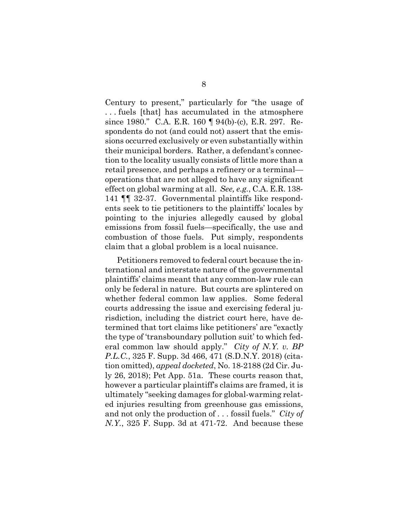Century to present," particularly for "the usage of . . . fuels [that] has accumulated in the atmosphere since 1980." C.A. E.R. 160 ¶ 94(b)-(c), E.R. 297. Respondents do not (and could not) assert that the emissions occurred exclusively or even substantially within their municipal borders. Rather, a defendant's connection to the locality usually consists of little more than a retail presence, and perhaps a refinery or a terminal operations that are not alleged to have any significant effect on global warming at all. *See, e.g.*, C.A. E.R. 138- 141 ¶¶ 32-37. Governmental plaintiffs like respondents seek to tie petitioners to the plaintiffs' locales by pointing to the injuries allegedly caused by global emissions from fossil fuels—specifically, the use and combustion of those fuels. Put simply, respondents claim that a global problem is a local nuisance.

Petitioners removed to federal court because the international and interstate nature of the governmental plaintiffs' claims meant that any common-law rule can only be federal in nature. But courts are splintered on whether federal common law applies. Some federal courts addressing the issue and exercising federal jurisdiction, including the district court here, have determined that tort claims like petitioners' are "exactly the type of 'transboundary pollution suit' to which federal common law should apply." *City of N.Y. v. BP P.L.C.*, 325 F. Supp. 3d 466, 471 (S.D.N.Y. 2018) (citation omitted), *appeal docketed*, No. 18-2188 (2d Cir. July 26, 2018); Pet App. 51a. These courts reason that, however a particular plaintiff's claims are framed, it is ultimately "seeking damages for global-warming related injuries resulting from greenhouse gas emissions, and not only the production of . . . fossil fuels." *City of N.Y.*, 325 F. Supp. 3d at 471-72. And because these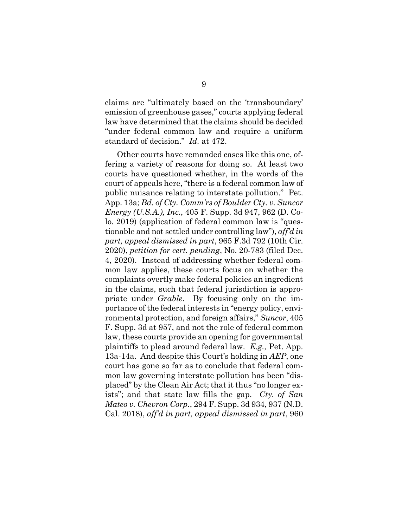claims are "ultimately based on the 'transboundary' emission of greenhouse gases," courts applying federal law have determined that the claims should be decided "under federal common law and require a uniform standard of decision." *Id.* at 472.

Other courts have remanded cases like this one, offering a variety of reasons for doing so. At least two courts have questioned whether, in the words of the court of appeals here, "there is a federal common law of public nuisance relating to interstate pollution." Pet. App. 13a; *Bd. of Cty. Comm'rs of Boulder Cty. v. Suncor Energy (U.S.A.), Inc.*, 405 F. Supp. 3d 947, 962 (D. Colo. 2019) (application of federal common law is "questionable and not settled under controlling law"), *aff'd in part, appeal dismissed in part*, 965 F.3d 792 (10th Cir. 2020), *petition for cert. pending*, No. 20-783 (filed Dec. 4, 2020). Instead of addressing whether federal common law applies, these courts focus on whether the complaints overtly make federal policies an ingredient in the claims, such that federal jurisdiction is appropriate under *Grable*. By focusing only on the importance of the federal interests in "energy policy, environmental protection, and foreign affairs," *Suncor*, 405 F. Supp. 3d at 957, and not the role of federal common law, these courts provide an opening for governmental plaintiffs to plead around federal law. *E.g.*, Pet. App. 13a-14a. And despite this Court's holding in *AEP*, one court has gone so far as to conclude that federal common law governing interstate pollution has been "displaced" by the Clean Air Act; that it thus "no longer exists"; and that state law fills the gap. *Cty. of San Mateo v. Chevron Corp.*, 294 F. Supp. 3d 934, 937 (N.D. Cal. 2018), *aff'd in part, appeal dismissed in part*, 960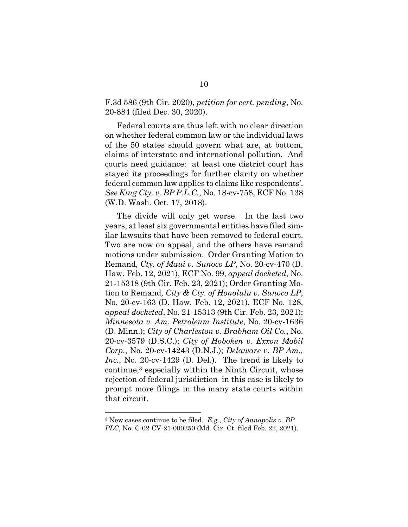F.3d 586 (9th Cir. 2020), *petition for cert. pending*, No. 20-884 (filed Dec. 30, 2020).

Federal courts are thus left with no clear direction on whether federal common law or the individual laws of the 50 states should govern what are, at bottom, claims of interstate and international pollution. And courts need guidance: at least one district court has stayed its proceedings for further clarity on whether federal common law applies to claims like respondents'. *See King Cty. v. BP P.L.C.*, No. 18-cv-758, ECF No. 138 (W.D. Wash. Oct. 17, 2018).

The divide will only get worse. In the last two years, at least six governmental entities have filed similar lawsuits that have been removed to federal court. Two are now on appeal, and the others have remand motions under submission. Order Granting Motion to Remand*, Cty. of Maui v. Sunoco LP*, No. 20-cv-470 (D. Haw. Feb. 12, 2021), ECF No. 99, *appeal docketed*, No. 21-15318 (9th Cir. Feb. 23, 2021); Order Granting Motion to Remand*, City & Cty. of Honolulu v. Sunoco LP*, No. 20-cv-163 (D. Haw. Feb. 12, 2021), ECF No. 128, *appeal docketed*, No. 21-15313 (9th Cir. Feb. 23, 2021); *Minnesota v. Am. Petroleum Institute*, No. 20-cv-1636 (D. Minn.); *City of Charleston v. Brabham Oil Co.*, No. 20-cv-3579 (D.S.C.); *City of Hoboken v. Exxon Mobil Corp.*, No. 20-cv-14243 (D.N.J.); *Delaware v. BP Am., Inc.*, No. 20-cv-1429 (D. Del.). The trend is likely to continue,3 especially within the Ninth Circuit, whose rejection of federal jurisdiction in this case is likely to prompt more filings in the many state courts within that circuit.

<sup>3</sup> New cases continue to be filed. *E.g.*, *City of Annapolis v. BP PLC*, No. C-02-CV-21-000250 (Md. Cir. Ct. filed Feb. 22, 2021).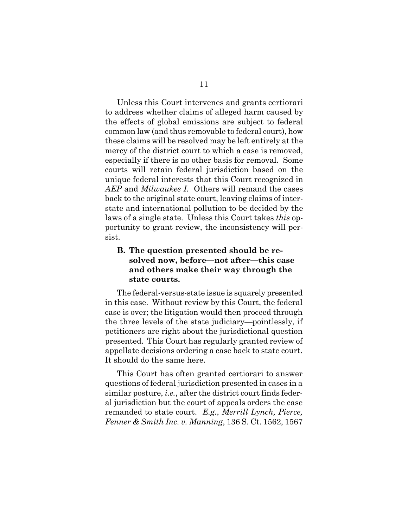Unless this Court intervenes and grants certiorari to address whether claims of alleged harm caused by the effects of global emissions are subject to federal common law (and thus removable to federal court), how these claims will be resolved may be left entirely at the mercy of the district court to which a case is removed, especially if there is no other basis for removal. Some courts will retain federal jurisdiction based on the unique federal interests that this Court recognized in *AEP* and *Milwaukee I*. Others will remand the cases back to the original state court, leaving claims of interstate and international pollution to be decided by the laws of a single state. Unless this Court takes *this* opportunity to grant review, the inconsistency will persist.

### **B. The question presented should be resolved now, before—not after—this case and others make their way through the state courts.**

The federal-versus-state issue is squarely presented in this case. Without review by this Court, the federal case is over; the litigation would then proceed through the three levels of the state judiciary—pointlessly, if petitioners are right about the jurisdictional question presented. This Court has regularly granted review of appellate decisions ordering a case back to state court. It should do the same here.

This Court has often granted certiorari to answer questions of federal jurisdiction presented in cases in a similar posture, *i.e.*, after the district court finds federal jurisdiction but the court of appeals orders the case remanded to state court. *E.g.*, *Merrill Lynch, Pierce, Fenner & Smith Inc. v. Manning*, 136 S. Ct. 1562, 1567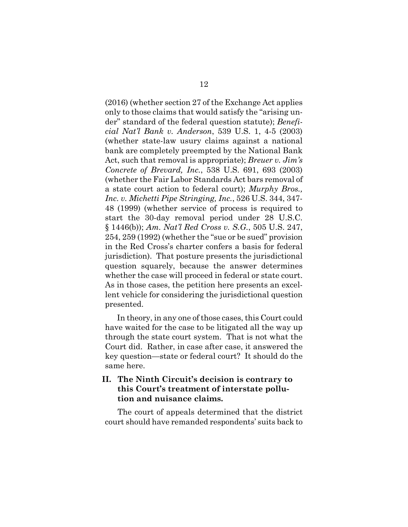(2016) (whether section 27 of the Exchange Act applies only to those claims that would satisfy the "arising under" standard of the federal question statute); *Beneficial Nat'l Bank v. Anderson*, 539 U.S. 1, 4-5 (2003) (whether state-law usury claims against a national bank are completely preempted by the National Bank Act, such that removal is appropriate); *Breuer v. Jim's Concrete of Brevard, Inc.*, 538 U.S. 691, 693 (2003) (whether the Fair Labor Standards Act bars removal of a state court action to federal court); *Murphy Bros., Inc. v. Michetti Pipe Stringing, Inc.*, 526 U.S. 344, 347- 48 (1999) (whether service of process is required to start the 30-day removal period under 28 U.S.C. § 1446(b)); *Am. Nat'l Red Cross v. S.G.*, 505 U.S. 247, 254, 259 (1992) (whether the "sue or be sued" provision in the Red Cross's charter confers a basis for federal jurisdiction). That posture presents the jurisdictional question squarely, because the answer determines whether the case will proceed in federal or state court. As in those cases, the petition here presents an excellent vehicle for considering the jurisdictional question presented.

In theory, in any one of those cases, this Court could have waited for the case to be litigated all the way up through the state court system. That is not what the Court did. Rather, in case after case, it answered the key question—state or federal court? It should do the same here.

### **II. The Ninth Circuit's decision is contrary to this Court's treatment of interstate pollution and nuisance claims.**

The court of appeals determined that the district court should have remanded respondents' suits back to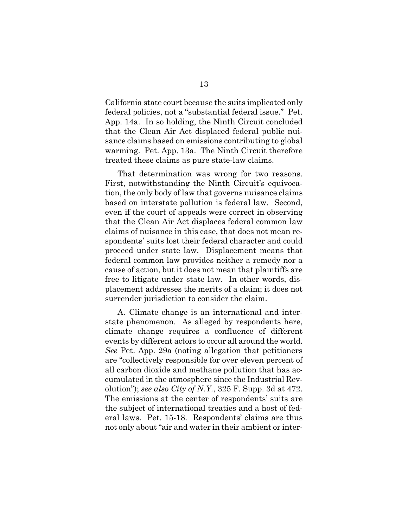California state court because the suits implicated only federal policies, not a "substantial federal issue." Pet. App. 14a. In so holding, the Ninth Circuit concluded that the Clean Air Act displaced federal public nuisance claims based on emissions contributing to global warming. Pet. App. 13a. The Ninth Circuit therefore treated these claims as pure state-law claims.

That determination was wrong for two reasons. First, notwithstanding the Ninth Circuit's equivocation, the only body of law that governs nuisance claims based on interstate pollution is federal law. Second, even if the court of appeals were correct in observing that the Clean Air Act displaces federal common law claims of nuisance in this case, that does not mean respondents' suits lost their federal character and could proceed under state law. Displacement means that federal common law provides neither a remedy nor a cause of action, but it does not mean that plaintiffs are free to litigate under state law. In other words, displacement addresses the merits of a claim; it does not surrender jurisdiction to consider the claim.

A. Climate change is an international and interstate phenomenon. As alleged by respondents here, climate change requires a confluence of different events by different actors to occur all around the world. *See* Pet. App. 29a (noting allegation that petitioners are "collectively responsible for over eleven percent of all carbon dioxide and methane pollution that has accumulated in the atmosphere since the Industrial Revolution"); *see also City of N.Y.*, 325 F. Supp. 3d at 472. The emissions at the center of respondents' suits are the subject of international treaties and a host of federal laws. Pet. 15-18. Respondents' claims are thus not only about "air and water in their ambient or inter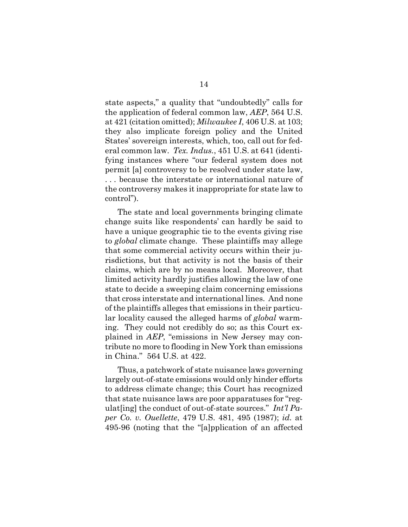state aspects," a quality that "undoubtedly" calls for the application of federal common law, *AEP*, 564 U.S. at 421 (citation omitted); *Milwaukee I*, 406 U.S. at 103; they also implicate foreign policy and the United States' sovereign interests, which, too, call out for federal common law. *Tex. Indus.*, 451 U.S. at 641 (identifying instances where "our federal system does not permit [a] controversy to be resolved under state law, . . . because the interstate or international nature of the controversy makes it inappropriate for state law to control").

The state and local governments bringing climate change suits like respondents' can hardly be said to have a unique geographic tie to the events giving rise to *global* climate change. These plaintiffs may allege that some commercial activity occurs within their jurisdictions, but that activity is not the basis of their claims, which are by no means local. Moreover, that limited activity hardly justifies allowing the law of one state to decide a sweeping claim concerning emissions that cross interstate and international lines. And none of the plaintiffs alleges that emissions in their particular locality caused the alleged harms of *global* warming. They could not credibly do so; as this Court explained in *AEP*, "emissions in New Jersey may contribute no more to flooding in New York than emissions in China." 564 U.S. at 422.

Thus, a patchwork of state nuisance laws governing largely out-of-state emissions would only hinder efforts to address climate change; this Court has recognized that state nuisance laws are poor apparatuses for "regulat[ing] the conduct of out-of-state sources." *Int'l Paper Co. v. Ouellette*, 479 U.S. 481, 495 (1987); *id.* at 495-96 (noting that the "[a]pplication of an affected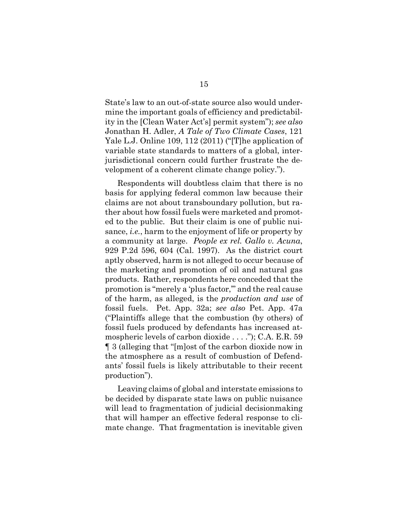State's law to an out-of-state source also would undermine the important goals of efficiency and predictability in the [Clean Water Act's] permit system"); *see also*  Jonathan H. Adler, *A Tale of Two Climate Cases*, 121 Yale L.J. Online 109, 112 (2011) ("[T]he application of variable state standards to matters of a global, interjurisdictional concern could further frustrate the development of a coherent climate change policy.").

Respondents will doubtless claim that there is no basis for applying federal common law because their claims are not about transboundary pollution, but rather about how fossil fuels were marketed and promoted to the public. But their claim is one of public nuisance, *i.e.*, harm to the enjoyment of life or property by a community at large. *People ex rel. Gallo v. Acuna*, 929 P.2d 596, 604 (Cal. 1997). As the district court aptly observed, harm is not alleged to occur because of the marketing and promotion of oil and natural gas products. Rather, respondents here conceded that the promotion is "merely a 'plus factor,'" and the real cause of the harm, as alleged, is the *production and use* of fossil fuels. Pet. App. 32a; *see also* Pet. App. 47a ("Plaintiffs allege that the combustion (by others) of fossil fuels produced by defendants has increased atmospheric levels of carbon dioxide . . . ."); C.A. E.R. 59 ¶ 3 (alleging that "[m]ost of the carbon dioxide now in the atmosphere as a result of combustion of Defendants' fossil fuels is likely attributable to their recent production").

Leaving claims of global and interstate emissions to be decided by disparate state laws on public nuisance will lead to fragmentation of judicial decision making that will hamper an effective federal response to climate change. That fragmentation is inevitable given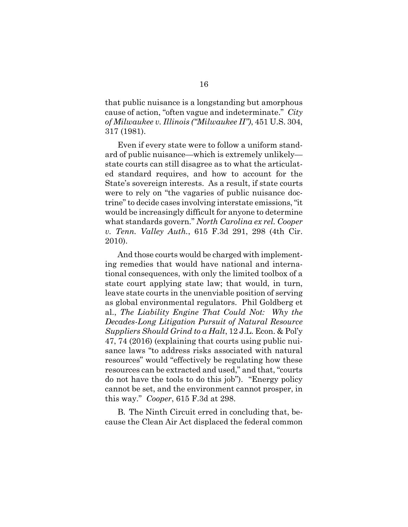that public nuisance is a longstanding but amorphous cause of action, "often vague and indeterminate." *City of Milwaukee v. Illinois ("Milwaukee II")*, 451 U.S. 304, 317 (1981).

Even if every state were to follow a uniform standard of public nuisance—which is extremely unlikely state courts can still disagree as to what the articulated standard requires, and how to account for the State's sovereign interests. As a result, if state courts were to rely on "the vagaries of public nuisance doctrine" to decide cases involving interstate emissions, "it would be increasingly difficult for anyone to determine what standards govern." *North Carolina ex rel. Cooper v. Tenn. Valley Auth.*, 615 F.3d 291, 298 (4th Cir. 2010).

And those courts would be charged with implementing remedies that would have national and international consequences, with only the limited toolbox of a state court applying state law; that would, in turn, leave state courts in the unenviable position of serving as global environmental regulators. Phil Goldberg et al., *The Liability Engine That Could Not: Why the Decades-Long Litigation Pursuit of Natural Resource Suppliers Should Grind to a Halt*, 12 J.L. Econ. & Pol'y 47, 74 (2016) (explaining that courts using public nuisance laws "to address risks associated with natural resources" would "effectively be regulating how these resources can be extracted and used," and that, "courts do not have the tools to do this job")."Energy policy cannot be set, and the environment cannot prosper, in this way." *Cooper*, 615 F.3d at 298.

B. The Ninth Circuit erred in concluding that, because the Clean Air Act displaced the federal common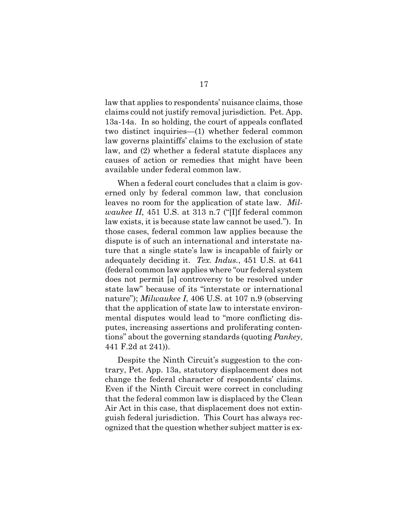law that applies to respondents' nuisance claims, those claims could not justify removal jurisdiction. Pet. App. 13a-14a. In so holding, the court of appeals conflated two distinct inquiries—(1) whether federal common law governs plaintiffs' claims to the exclusion of state law, and (2) whether a federal statute displaces any causes of action or remedies that might have been available under federal common law.

When a federal court concludes that a claim is governed only by federal common law, that conclusion leaves no room for the application of state law. *Milwaukee II*, 451 U.S. at 313 n.7 ("[I]f federal common law exists, it is because state law cannot be used."). In those cases, federal common law applies because the dispute is of such an international and interstate nature that a single state's law is incapable of fairly or adequately deciding it. *Tex. Indus.*, 451 U.S. at 641 (federal common law applies where "our federal system does not permit [a] controversy to be resolved under state law" because of its "interstate or international nature"); *Milwaukee I*, 406 U.S. at 107 n.9 (observing that the application of state law to interstate environmental disputes would lead to "more conflicting disputes, increasing assertions and proliferating contentions" about the governing standards (quoting *Pankey*, 441 F.2d at 241)).

Despite the Ninth Circuit's suggestion to the contrary, Pet. App. 13a, statutory displacement does not change the federal character of respondents' claims. Even if the Ninth Circuit were correct in concluding that the federal common law is displaced by the Clean Air Act in this case, that displacement does not extinguish federal jurisdiction. This Court has always recognized that the question whether subject matter is ex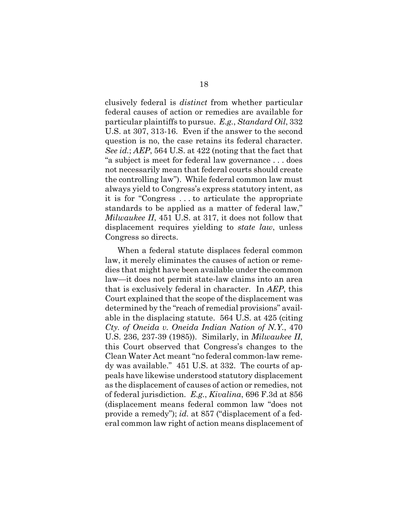clusively federal is *distinct* from whether particular federal causes of action or remedies are available for particular plaintiffs to pursue. *E.g.*, *Standard Oil*, 332 U.S. at 307, 313-16. Even if the answer to the second question is no, the case retains its federal character. *See id.*; *AEP*, 564 U.S. at 422 (noting that the fact that "a subject is meet for federal law governance . . . does not necessarily mean that federal courts should create the controlling law"). While federal common law must always yield to Congress's express statutory intent, as it is for "Congress . . . to articulate the appropriate standards to be applied as a matter of federal law," *Milwaukee II*, 451 U.S. at 317, it does not follow that displacement requires yielding to *state law*, unless Congress so directs.

When a federal statute displaces federal common law, it merely eliminates the causes of action or remedies that might have been available under the common law—it does not permit state-law claims into an area that is exclusively federal in character. In *AEP*, this Court explained that the scope of the displacement was determined by the "reach of remedial provisions" available in the displacing statute. 564 U.S. at 425 (citing *Cty. of Oneida v. Oneida Indian Nation of N.Y.*, 470 U.S. 236, 237-39 (1985)). Similarly, in *Milwaukee II*, this Court observed that Congress's changes to the Clean Water Act meant "no federal common-law remedy was available." 451 U.S. at 332. The courts of appeals have likewise understood statutory displacement as the displacement of causes of action or remedies, not of federal jurisdiction. *E.g.*, *Kivalina*, 696 F.3d at 856 (displacement means federal common law "does not provide a remedy"); *id.* at 857 ("displacement of a federal common law right of action means displacement of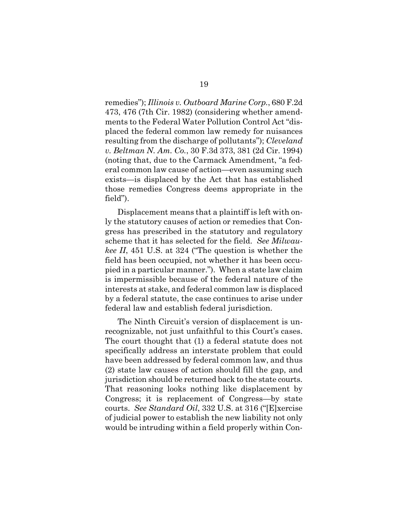remedies"); *Illinois v. Outboard Marine Corp.*, 680 F.2d 473, 476 (7th Cir. 1982) (considering whether amendments to the Federal Water Pollution Control Act "displaced the federal common law remedy for nuisances resulting from the discharge of pollutants"); *Cleveland v. Beltman N. Am. Co.*, 30 F.3d 373, 381 (2d Cir. 1994) (noting that, due to the Carmack Amendment, "a federal common law cause of action—even assuming such exists—is displaced by the Act that has established those remedies Congress deems appropriate in the field").

Displacement means that a plaintiff is left with only the statutory causes of action or remedies that Congress has prescribed in the statutory and regulatory scheme that it has selected for the field. *See Milwaukee II*, 451 U.S. at 324 ("The question is whether the field has been occupied, not whether it has been occupied in a particular manner."). When a state law claim is impermissible because of the federal nature of the interests at stake, and federal common law is displaced by a federal statute, the case continues to arise under federal law and establish federal jurisdiction.

The Ninth Circuit's version of displacement is unrecognizable, not just unfaithful to this Court's cases. The court thought that (1) a federal statute does not specifically address an interstate problem that could have been addressed by federal common law, and thus (2) state law causes of action should fill the gap, and jurisdiction should be returned back to the state courts. That reasoning looks nothing like displacement by Congress; it is replacement of Congress—by state courts. *See Standard Oil*, 332 U.S. at 316 ("[E]xercise of judicial power to establish the new liability not only would be intruding within a field properly within Con